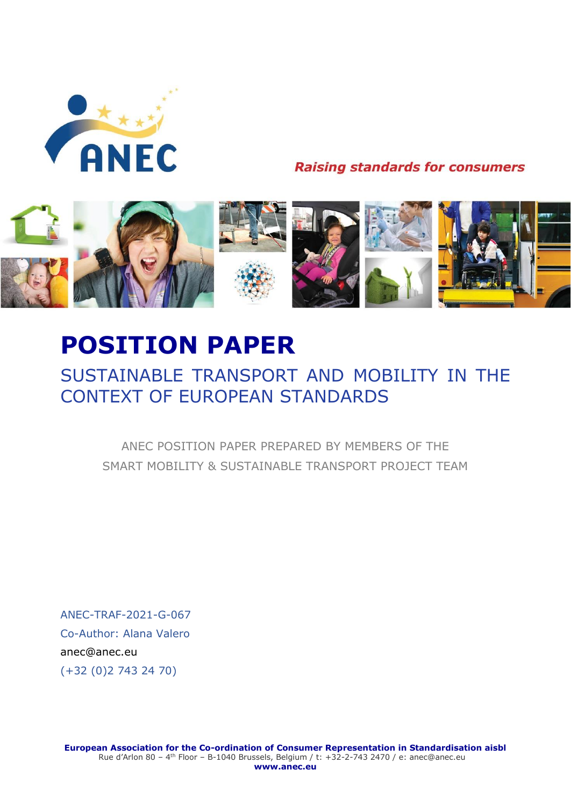

**Raising standards for consumers** 



# **POSITION PAPER**

# SUSTAINABLE TRANSPORT AND MOBILITY IN THE CONTEXT OF EUROPEAN STANDARDS

ANEC POSITION PAPER PREPARED BY MEMBERS OF THE SMART MOBILITY & SUSTAINABLE TRANSPORT PROJECT TEAM

ANEC-TRAF-2021-G-067 Co-Author: Alana Valero [anec@anec.eu](mailto:ava@anec.eu) (+32 (0)2 743 24 70)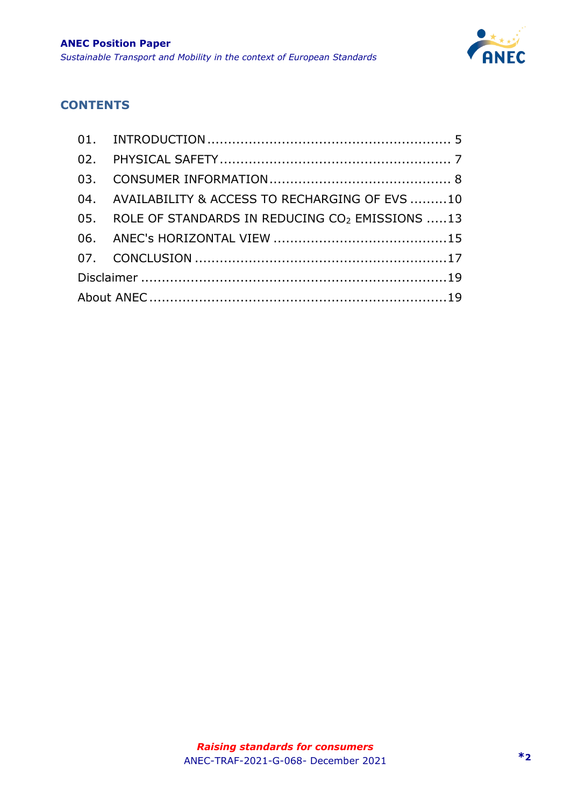

### **CONTENTS**

|  | 04. AVAILABILITY & ACCESS TO RECHARGING OF EVS 10              |  |
|--|----------------------------------------------------------------|--|
|  | 05. ROLE OF STANDARDS IN REDUCING CO <sub>2</sub> EMISSIONS 13 |  |
|  |                                                                |  |
|  |                                                                |  |
|  |                                                                |  |
|  |                                                                |  |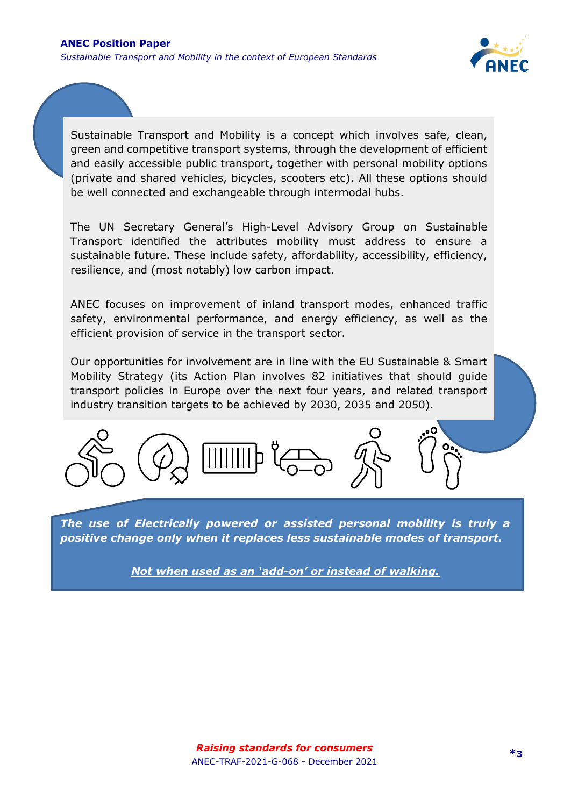

Sustainable Transport and Mobility is a concept which involves safe, clean, green and competitive transport systems, through the development of efficient and easily accessible public transport, together with personal mobility options (private and shared vehicles, bicycles, scooters etc). All these options should be well connected and exchangeable through intermodal hubs.

The UN Secretary General's High-Level Advisory Group on Sustainable Transport identified the attributes mobility must address to ensure a sustainable future. These include safety, affordability, accessibility, efficiency, resilience, and (most notably) low carbon impact.

ANEC focuses on improvement of inland transport modes, enhanced traffic safety, environmental performance, and energy efficiency, as well as the efficient provision of service in the transport sector.

Our opportunities for involvement are in line with the EU Sustainable & Smart Mobility Strategy (its Action Plan involves 82 initiatives that should guide transport policies in Europe over the next four years, and related transport industry transition targets to be achieved by 2030, 2035 and 2050).



*The use of Electrically powered or assisted personal mobility is truly a positive change only when it replaces less sustainable modes of transport.* 

*Not when used as an 'add-on' or instead of walking.*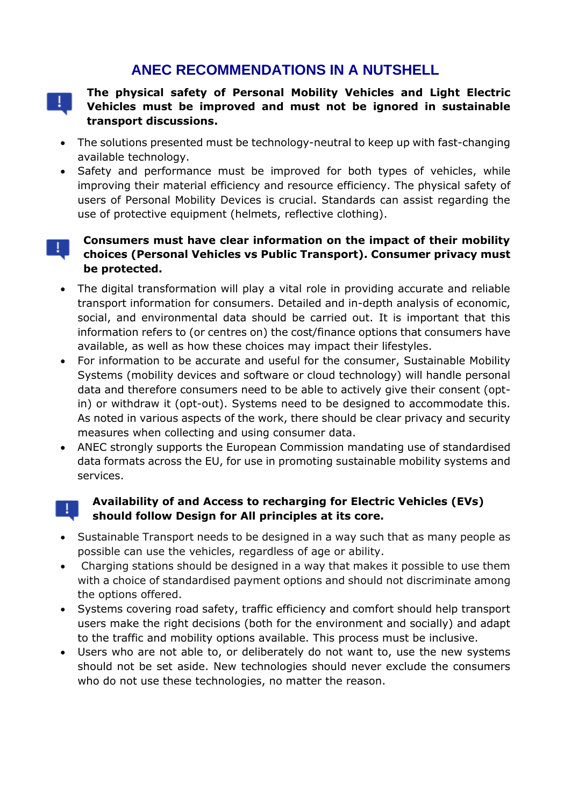# **ANEC RECOMMENDATIONS IN A NUTSHELL**

44

#### **The physical safety of Personal Mobility Vehicles and Light Electric Vehicles must be improved and must not be ignored in sustainable transport discussions.**

- The solutions presented must be technology-neutral to keep up with fast-changing available technology.
- Safety and performance must be improved for both types of vehicles, while improving their material efficiency and resource efficiency. The physical safety of users of Personal Mobility Devices is crucial. Standards can assist regarding the use of protective equipment (helmets, reflective clothing).

#### **Consumers must have clear information on the impact of their mobility**  ÷. **choices (Personal Vehicles vs Public Transport). Consumer privacy must be protected.**

- The digital transformation will play a vital role in providing accurate and reliable transport information for consumers. Detailed and in-depth analysis of economic, social, and environmental data should be carried out. It is important that this information refers to (or centres on) the cost/finance options that consumers have available, as well as how these choices may impact their lifestyles.
- For information to be accurate and useful for the consumer, Sustainable Mobility Systems (mobility devices and software or cloud technology) will handle personal data and therefore consumers need to be able to actively give their consent (optin) or withdraw it (opt-out). Systems need to be designed to accommodate this. As noted in various aspects of the work, there should be clear privacy and security measures when collecting and using consumer data.
- ANEC strongly supports the European Commission mandating use of standardised data formats across the EU, for use in promoting sustainable mobility systems and services.

#### **Availability of and Access to recharging for Electric Vehicles (EVs) should follow Design for All principles at its core.**

- Sustainable Transport needs to be designed in a way such that as many people as possible can use the vehicles, regardless of age or ability.
- Charging stations should be designed in a way that makes it possible to use them with a choice of standardised payment options and should not discriminate among the options offered.
- Systems covering road safety, traffic efficiency and comfort should help transport users make the right decisions (both for the environment and socially) and adapt to the traffic and mobility options available. This process must be inclusive.
- Users who are not able to, or deliberately do not want to, use the new systems should not be set aside. New technologies should never exclude the consumers who do not use these technologies, no matter the reason.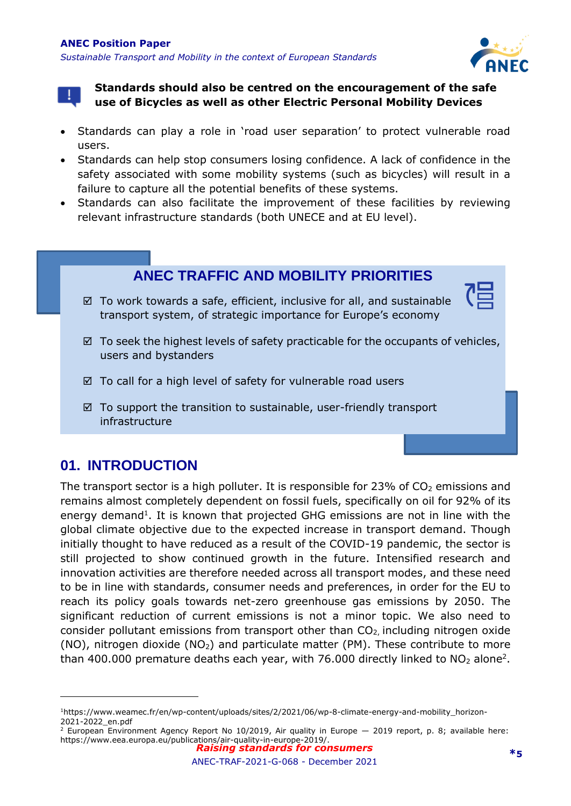



**Standards should also be centred on the encouragement of the safe use of Bicycles as well as other Electric Personal Mobility Devices**

- Standards can play a role in 'road user separation' to protect vulnerable road users.
- Standards can help stop consumers losing confidence. A lack of confidence in the safety associated with some mobility systems (such as bicycles) will result in a failure to capture all the potential benefits of these systems.
- Standards can also facilitate the improvement of these facilities by reviewing relevant infrastructure standards (both UNECE and at EU level).

# **ANEC TRAFFIC AND MOBILITY PRIORITIES**

- $\boxtimes$  To work towards a safe, efficient, inclusive for all, and sustainable transport system, of strategic importance for Europe's economy
- $\boxtimes$  To seek the highest levels of safety practicable for the occupants of vehicles, users and bystanders
- $\boxtimes$  To call for a high level of safety for vulnerable road users
- $\boxtimes$  To support the transition to sustainable, user-friendly transport infrastructure

# <span id="page-4-0"></span>**01. INTRODUCTION**

The transport sector is a high polluter. It is responsible for 23% of  $CO<sub>2</sub>$  emissions and remains almost completely dependent on fossil fuels, specifically on oil for 92% of its energy demand<sup>1</sup>. It is known that projected GHG emissions are not in line with the global climate objective due to the expected increase in transport demand. Though initially thought to have reduced as a result of the COVID-19 pandemic, the sector is still projected to show continued growth in the future. Intensified research and innovation activities are therefore needed across all transport modes, and these need to be in line with standards, consumer needs and preferences, in order for the EU to reach its policy goals towards net-zero greenhouse gas emissions by 2050. The significant reduction of current emissions is not a minor topic. We also need to consider pollutant emissions from transport other than  $CO<sub>2</sub>$ , including nitrogen oxide (NO), nitrogen dioxide (NO<sub>2</sub>) and particulate matter (PM). These contribute to more than 400.000 premature deaths each year, with 76.000 directly linked to  $NO<sub>2</sub>$  alone<sup>2</sup>.

<sup>1</sup>https://www.weamec.fr/en/wp-content/uploads/sites/2/2021/06/wp-8-climate-energy-and-mobility\_horizon-2021-2022\_en.pdf

*Raising standards for consumers* <sup>2</sup> European Environment Agency Report No 10/2019, Air quality in Europe — 2019 report, p. 8; available here: https://www.eea.europa.eu/publications/air-quality-in-europe-2019/.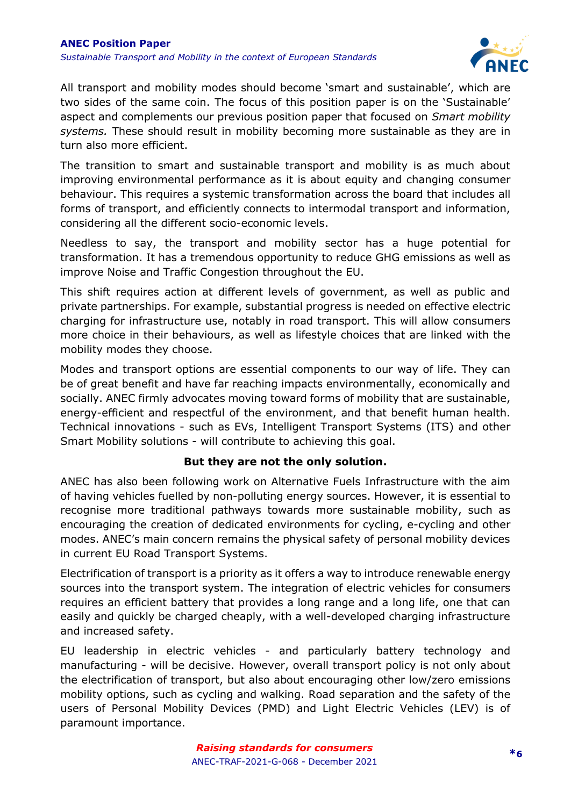

All transport and mobility modes should become 'smart and sustainable', which are two sides of the same coin. The focus of this position paper is on the 'Sustainable' aspect and complements our previous position paper that focused on *Smart mobility systems.* These should result in mobility becoming more sustainable as they are in turn also more efficient.

The transition to smart and sustainable transport and mobility is as much about improving environmental performance as it is about equity and changing consumer behaviour. This requires a systemic transformation across the board that includes all forms of transport, and efficiently connects to intermodal transport and information, considering all the different socio-economic levels.

Needless to say, the transport and mobility sector has a huge potential for transformation. It has a tremendous opportunity to reduce GHG emissions as well as improve Noise and Traffic Congestion throughout the EU.

This shift requires action at different levels of government, as well as public and private partnerships. For example, substantial progress is needed on effective electric charging for infrastructure use, notably in road transport. This will allow consumers more choice in their behaviours, as well as lifestyle choices that are linked with the mobility modes they choose.

Modes and transport options are essential components to our way of life. They can be of great benefit and have far reaching impacts environmentally, economically and socially. ANEC firmly advocates moving toward forms of mobility that are sustainable, energy-efficient and respectful of the environment, and that benefit human health. Technical innovations - such as EVs, Intelligent Transport Systems (ITS) and other Smart Mobility solutions - will contribute to achieving this goal.

#### **But they are not the only solution.**

ANEC has also been following work on Alternative Fuels Infrastructure with the aim of having vehicles fuelled by non-polluting energy sources. However, it is essential to recognise more traditional pathways towards more sustainable mobility, such as encouraging the creation of dedicated environments for cycling, e-cycling and other modes. ANEC's main concern remains the physical safety of personal mobility devices in current EU Road Transport Systems.

Electrification of transport is a priority as it offers a way to introduce renewable energy sources into the transport system. The integration of electric vehicles for consumers requires an efficient battery that provides a long range and a long life, one that can easily and quickly be charged cheaply, with a well-developed charging infrastructure and increased safety.

EU leadership in electric vehicles - and particularly battery technology and manufacturing - will be decisive. However, overall transport policy is not only about the electrification of transport, but also about encouraging other low/zero emissions mobility options, such as cycling and walking. Road separation and the safety of the users of Personal Mobility Devices (PMD) and Light Electric Vehicles (LEV) is of paramount importance.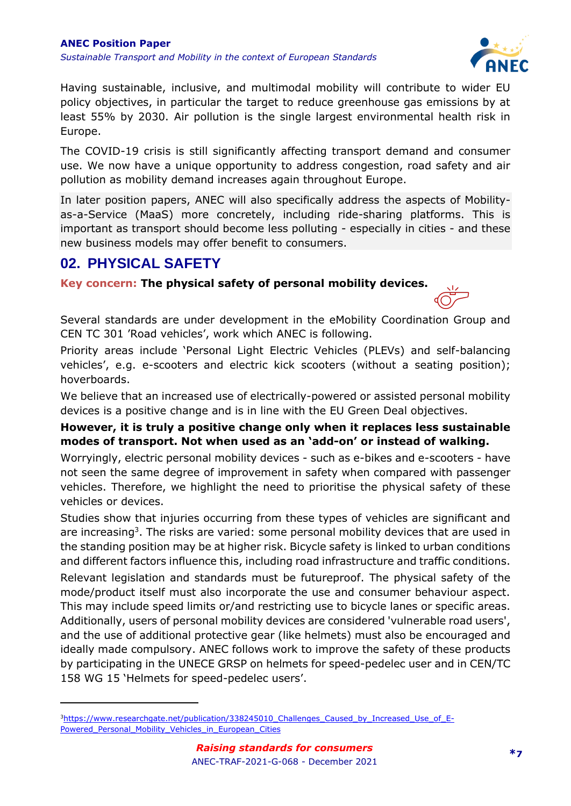

Having sustainable, inclusive, and multimodal mobility will contribute to wider EU policy objectives, in particular the target to reduce greenhouse gas emissions by at least 55% by 2030. Air pollution is the single largest environmental health risk in Europe.

The COVID-19 crisis is still significantly affecting transport demand and consumer use. We now have a unique opportunity to address congestion, road safety and air pollution as mobility demand increases again throughout Europe.

In later position papers, ANEC will also specifically address the aspects of Mobilityas-a-Service (MaaS) more concretely, including ride-sharing platforms. This is important as transport should become less polluting - especially in cities - and these new business models may offer benefit to consumers.

# <span id="page-6-0"></span>**02. PHYSICAL SAFETY**

**Key concern: The physical safety of personal mobility devices.** 



Several standards are under development in the eMobility Coordination Group and CEN TC 301 'Road vehicles', work which ANEC is following.

Priority areas include 'Personal Light Electric Vehicles (PLEVs) and self-balancing vehicles', e.g. e-scooters and electric kick scooters (without a seating position); hoverboards.

We believe that an increased use of electrically-powered or assisted personal mobility devices is a positive change and is in line with the EU Green Deal objectives.

#### **However, it is truly a positive change only when it replaces less sustainable modes of transport. Not when used as an 'add-on' or instead of walking.**

Worryingly, electric personal mobility devices - such as e-bikes and e-scooters - have not seen the same degree of improvement in safety when compared with passenger vehicles. Therefore, we highlight the need to prioritise the physical safety of these vehicles or devices.

Studies show that injuries occurring from these types of vehicles are significant and are increasing<sup>3</sup>. The risks are varied: some personal mobility devices that are used in the standing position may be at higher risk. Bicycle safety is linked to urban conditions and different factors influence this, including road infrastructure and traffic conditions.

Relevant legislation and standards must be futureproof. The physical safety of the mode/product itself must also incorporate the use and consumer behaviour aspect. This may include speed limits or/and restricting use to bicycle lanes or specific areas. Additionally, users of personal mobility devices are considered 'vulnerable road users', and the use of additional protective gear (like helmets) must also be encouraged and ideally made compulsory. ANEC follows work to improve the safety of these products by participating in the UNECE GRSP on helmets for speed-pedelec user and in CEN/TC 158 WG 15 'Helmets for speed-pedelec users'.

<sup>&</sup>lt;sup>3</sup>[https://www.researchgate.net/publication/338245010\\_Challenges\\_Caused\\_by\\_Increased\\_Use\\_of\\_E-](https://www.researchgate.net/publication/338245010_Challenges_Caused_by_Increased_Use_of_E-Powered_Personal_Mobility_Vehicles_in_European_Cities)Powered Personal Mobility Vehicles in European Cities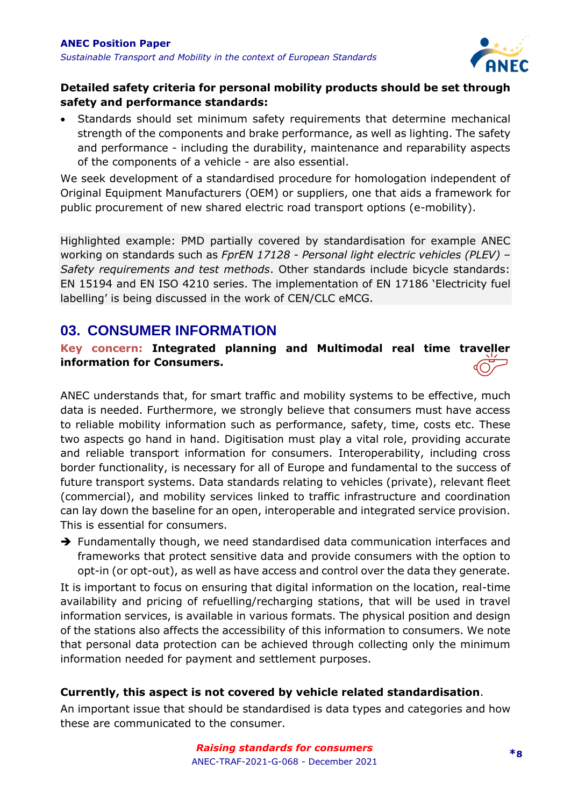

#### **Detailed safety criteria for personal mobility products should be set through safety and performance standards:**

• Standards should set minimum safety requirements that determine mechanical strength of the components and brake performance, as well as lighting. The safety and performance - including the durability, maintenance and reparability aspects of the components of a vehicle - are also essential.

We seek development of a standardised procedure for homologation independent of Original Equipment Manufacturers (OEM) or suppliers, one that aids a framework for public procurement of new shared electric road transport options (e-mobility).

Highlighted example: PMD partially covered by standardisation for example ANEC working on standards such as *FprEN 17128 - Personal light electric vehicles (PLEV) – Safety requirements and test methods*. Other standards include bicycle standards: EN 15194 and EN ISO 4210 series. The implementation of EN 17186 'Electricity fuel labelling' is being discussed in the work of CEN/CLC eMCG.

# <span id="page-7-0"></span>**03. CONSUMER INFORMATION**

#### **Key concern: Integrated planning and Multimodal real time traveller information for Consumers.**

ANEC understands that, for smart traffic and mobility systems to be effective, much data is needed. Furthermore, we strongly believe that consumers must have access to reliable mobility information such as performance, safety, time, costs etc. These two aspects go hand in hand. Digitisation must play a vital role, providing accurate and reliable transport information for consumers. Interoperability, including cross border functionality, is necessary for all of Europe and fundamental to the success of future transport systems. Data standards relating to vehicles (private), relevant fleet (commercial), and mobility services linked to traffic infrastructure and coordination can lay down the baseline for an open, interoperable and integrated service provision. This is essential for consumers.

→ Fundamentally though, we need standardised data communication interfaces and frameworks that protect sensitive data and provide consumers with the option to opt-in (or opt-out), as well as have access and control over the data they generate.

It is important to focus on ensuring that digital information on the location, real-time availability and pricing of refuelling/recharging stations, that will be used in travel information services, is available in various formats. The physical position and design of the stations also affects the accessibility of this information to consumers. We note that personal data protection can be achieved through collecting only the minimum information needed for payment and settlement purposes.

#### **Currently, this aspect is not covered by vehicle related standardisation**.

An important issue that should be standardised is data types and categories and how these are communicated to the consumer.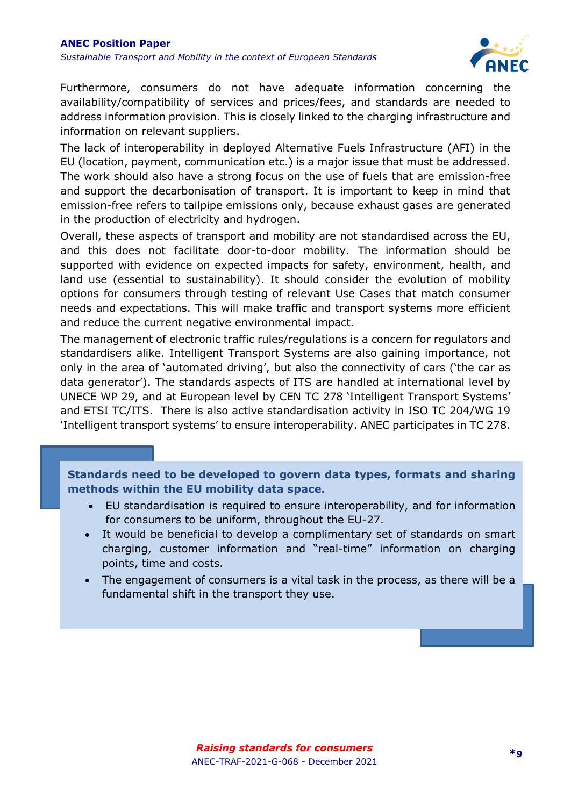

Furthermore, consumers do not have adequate information concerning the availability/compatibility of services and prices/fees, and standards are needed to address information provision. This is closely linked to the charging infrastructure and information on relevant suppliers.

The lack of interoperability in deployed Alternative Fuels Infrastructure (AFI) in the EU (location, payment, communication etc.) is a major issue that must be addressed. The work should also have a strong focus on the use of fuels that are emission-free and support the decarbonisation of transport. It is important to keep in mind that emission-free refers to tailpipe emissions only, because exhaust gases are generated in the production of electricity and hydrogen.

Overall, these aspects of transport and mobility are not standardised across the EU, and this does not facilitate door-to-door mobility. The information should be supported with evidence on expected impacts for safety, environment, health, and land use (essential to sustainability). It should consider the evolution of mobility options for consumers through testing of relevant Use Cases that match consumer needs and expectations. This will make traffic and transport systems more efficient and reduce the current negative environmental impact.

The management of electronic traffic rules/regulations is a concern for regulators and standardisers alike. Intelligent Transport Systems are also gaining importance, not only in the area of 'automated driving', but also the connectivity of cars ('the car as data generator'). The standards aspects of ITS are handled at international level by UNECE WP 29, and at European level by CEN TC 278 'Intelligent Transport Systems' and ETSI TC/ITS. There is also active standardisation activity in ISO TC 204/WG 19 'Intelligent transport systems' to ensure interoperability. ANEC participates in TC 278.

**Standards need to be developed to govern data types, formats and sharing methods within the EU mobility data space.** 

- EU standardisation is required to ensure interoperability, and for information for consumers to be uniform, throughout the EU-27.
- It would be beneficial to develop a complimentary set of standards on smart charging, customer information and "real-time" information on charging points, time and costs.
- The engagement of consumers is a vital task in the process, as there will be a fundamental shift in the transport they use.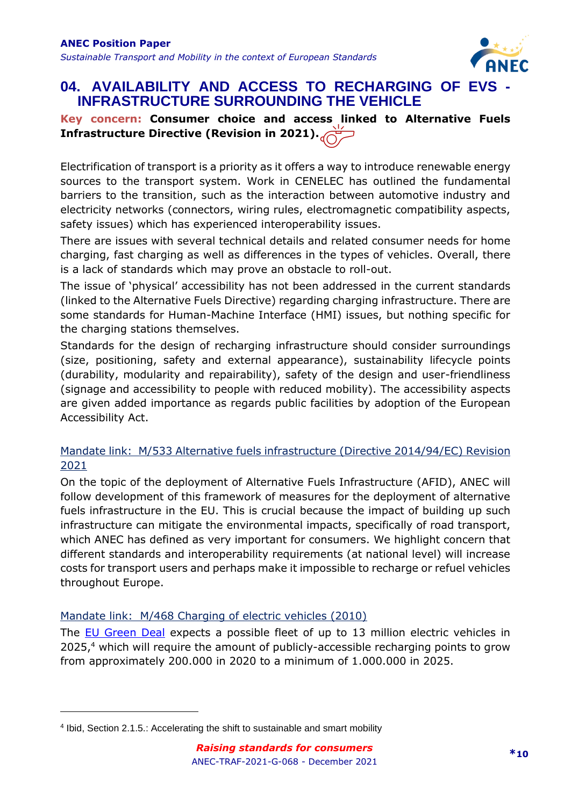

## <span id="page-9-0"></span>**04. AVAILABILITY AND ACCESS TO RECHARGING OF EVS - INFRASTRUCTURE SURROUNDING THE VEHICLE**

#### **Key concern: Consumer choice and access linked to Alternative Fuels Infrastructure Directive (Revision in 2021).**

Electrification of transport is a priority as it offers a way to introduce renewable energy sources to the transport system. Work in CENELEC has outlined the fundamental barriers to the transition, such as the interaction between automotive industry and electricity networks (connectors, wiring rules, electromagnetic compatibility aspects, safety issues) which has experienced interoperability issues.

There are issues with several technical details and related consumer needs for home charging, fast charging as well as differences in the types of vehicles. Overall, there is a lack of standards which may prove an obstacle to roll-out.

The issue of 'physical' accessibility has not been addressed in the current standards (linked to the Alternative Fuels Directive) regarding charging infrastructure. There are some standards for Human-Machine Interface (HMI) issues, but nothing specific for the charging stations themselves.

Standards for the design of recharging infrastructure should consider surroundings (size, positioning, safety and external appearance), sustainability lifecycle points (durability, modularity and repairability), safety of the design and user-friendliness (signage and accessibility to people with reduced mobility). The accessibility aspects are given added importance as regards public facilities by adoption of the European Accessibility Act.

#### Mandate link: M/533 Alternative fuels infrastructure (Directive 2014/94/EC) Revision 2021

On the topic of the deployment of Alternative Fuels Infrastructure (AFID), ANEC will follow development of this framework of measures for the deployment of alternative fuels infrastructure in the EU. This is crucial because the impact of building up such infrastructure can mitigate the environmental impacts, specifically of road transport, which ANEC has defined as very important for consumers. We highlight concern that different standards and interoperability requirements (at national level) will increase costs for transport users and perhaps make it impossible to recharge or refuel vehicles throughout Europe.

#### Mandate link: M/468 Charging of electric vehicles (2010)

The **EU Green Deal** expects a possible fleet of up to 13 million electric vehicles in 2025,<sup>4</sup> which will require the amount of publicly-accessible recharging points to grow from approximately 200.000 in 2020 to a minimum of 1.000.000 in 2025.

<sup>4</sup> Ibid, Section 2.1.5.: Accelerating the shift to sustainable and smart mobility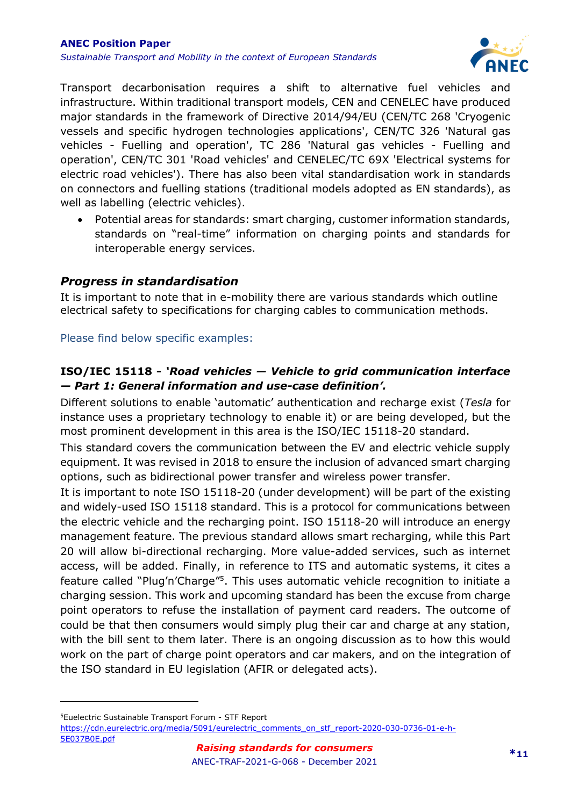

Transport decarbonisation requires a shift to alternative fuel vehicles and infrastructure. Within traditional transport models, CEN and CENELEC have produced major standards in the framework of Directive 2014/94/EU (CEN/TC 268 'Cryogenic vessels and specific hydrogen technologies applications', CEN/TC 326 'Natural gas vehicles - Fuelling and operation', TC 286 'Natural gas vehicles - Fuelling and operation', CEN/TC 301 'Road vehicles' and CENELEC/TC 69X 'Electrical systems for electric road vehicles'). There has also been vital standardisation work in standards on connectors and fuelling stations (traditional models adopted as EN standards), as well as labelling (electric vehicles).

• Potential areas for standards: smart charging, customer information standards, standards on "real-time" information on charging points and standards for interoperable energy services.

#### *Progress in standardisation*

It is important to note that in e-mobility there are various standards which outline electrical safety to specifications for charging cables to communication methods.

#### Please find below specific examples:

#### **ISO/IEC 15118 -** *'Road vehicles — Vehicle to grid communication interface — Part 1: General information and use-case definition'.*

Different solutions to enable 'automatic' authentication and recharge exist (*Tesla* for instance uses a proprietary technology to enable it) or are being developed, but the most prominent development in this area is the ISO/IEC 15118-20 standard.

This standard covers the communication between the EV and electric vehicle supply equipment. It was revised in 2018 to ensure the inclusion of advanced smart charging options, such as bidirectional power transfer and wireless power transfer.

It is important to note ISO 15118-20 (under development) will be part of the existing and widely-used ISO 15118 standard. This is a protocol for communications between the electric vehicle and the recharging point. ISO 15118-20 will introduce an energy management feature. The previous standard allows smart recharging, while this Part 20 will allow bi-directional recharging. More value-added services, such as internet access, will be added. Finally, in reference to ITS and automatic systems, it cites a feature called "Plug'n'Charge"<sup>5</sup>. This uses automatic vehicle recognition to initiate a charging session. This work and upcoming standard has been the excuse from charge point operators to refuse the installation of payment card readers. The outcome of could be that then consumers would simply plug their car and charge at any station, with the bill sent to them later. There is an ongoing discussion as to how this would work on the part of charge point operators and car makers, and on the integration of the ISO standard in EU legislation (AFIR or delegated acts).

<sup>5</sup>Euelectric Sustainable Transport Forum - STF Report [https://cdn.eurelectric.org/media/5091/eurelectric\\_comments\\_on\\_stf\\_report-2020-030-0736-01-e-h-](https://cdn.eurelectric.org/media/5091/eurelectric_comments_on_stf_report-2020-030-0736-01-e-h-5E037B0E.pdf)[5E037B0E.pdf](https://cdn.eurelectric.org/media/5091/eurelectric_comments_on_stf_report-2020-030-0736-01-e-h-5E037B0E.pdf)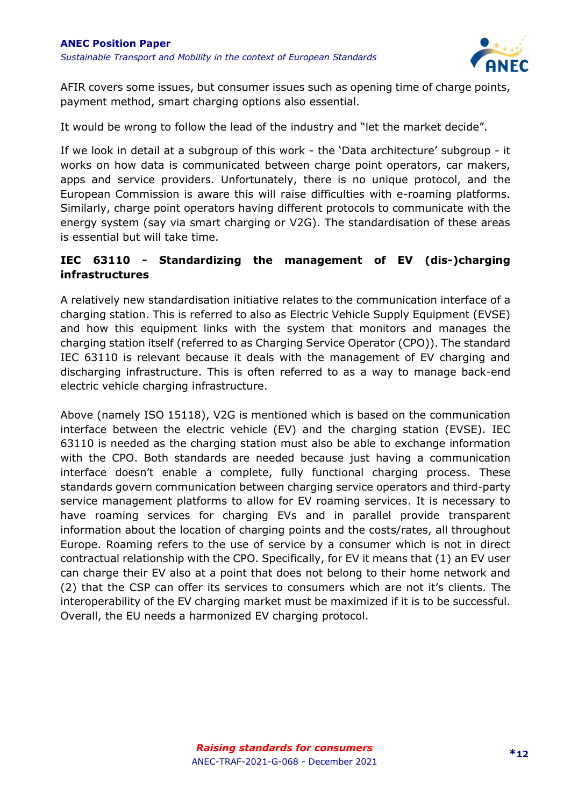

AFIR covers some issues, but consumer issues such as opening time of charge points, payment method, smart charging options also essential.

It would be wrong to follow the lead of the industry and "let the market decide".

If we look in detail at a subgroup of this work - the 'Data architecture' subgroup - it works on how data is communicated between charge point operators, car makers, apps and service providers. Unfortunately, there is no unique protocol, and the European Commission is aware this will raise difficulties with e-roaming platforms. Similarly, charge point operators having different protocols to communicate with the energy system (say via smart charging or V2G). The standardisation of these areas is essential but will take time.

#### **IEC 63110 - Standardizing the management of EV (dis-)charging infrastructures**

A relatively new standardisation initiative relates to the communication interface of a charging station. This is referred to also as Electric Vehicle Supply Equipment (EVSE) and how this equipment links with the system that monitors and manages the charging station itself (referred to as Charging Service Operator (CPO)). The standard IEC 63110 is relevant because it deals with the management of EV charging and discharging infrastructure. This is often referred to as a way to manage back-end electric vehicle charging infrastructure.

Above (namely ISO 15118), V2G is mentioned which is based on the communication interface between the electric vehicle (EV) and the charging station (EVSE). IEC 63110 is needed as the charging station must also be able to exchange information with the CPO. Both standards are needed because just having a communication interface doesn't enable a complete, fully functional charging process. These standards govern communication between charging service operators and third-party service management platforms to allow for EV roaming services. It is necessary to have roaming services for charging EVs and in parallel provide transparent information about the location of charging points and the costs/rates, all throughout Europe. Roaming refers to the use of service by a consumer which is not in direct contractual relationship with the CPO. Specifically, for EV it means that (1) an EV user can charge their EV also at a point that does not belong to their home network and (2) that the CSP can offer its services to consumers which are not it's clients. The interoperability of the EV charging market must be maximized if it is to be successful. Overall, the EU needs a harmonized EV charging protocol.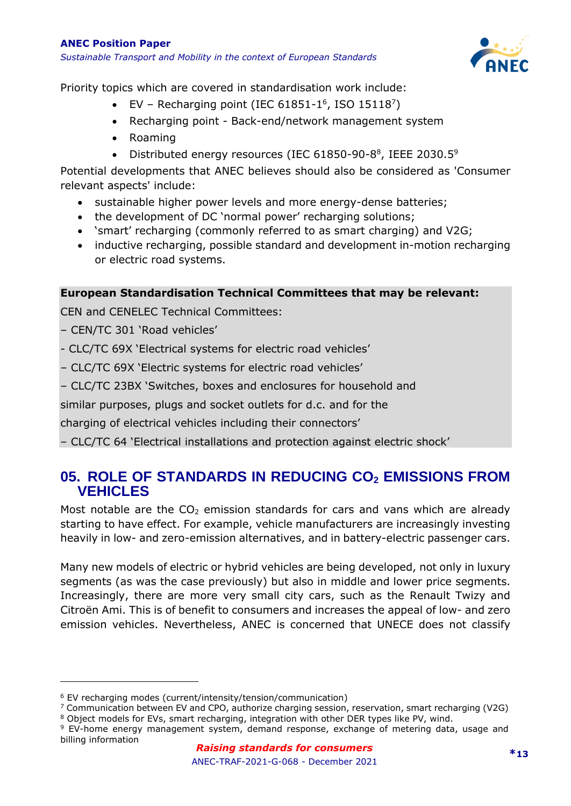#### **ANEC Position Paper** *Sustainable Transport and Mobility in the context of European Standards*



Priority topics which are covered in standardisation work include:

- EV Recharging point (IEC 61851-1<sup>6</sup>, ISO 15118<sup>7</sup>)
- Recharging point Back-end/network management system
- Roaming
- Distributed energy resources (IEC 61850-90-8<sup>8</sup>, IEEE 2030.5<sup>9</sup>

Potential developments that ANEC believes should also be considered as 'Consumer relevant aspects' include:

- sustainable higher power levels and more energy-dense batteries;
- the development of DC 'normal power' recharging solutions;
- 'smart' recharging (commonly referred to as smart charging) and V2G;
- inductive recharging, possible standard and development in-motion recharging or electric road systems.

#### **European Standardisation Technical Committees that may be relevant:**

CEN and CENELEC Technical Committees:

- CEN/TC 301 'Road vehicles'
- CLC/TC 69X 'Electrical systems for electric road vehicles'
- CLC/TC 69X 'Electric systems for electric road vehicles'
- CLC/TC 23BX 'Switches, boxes and enclosures for household and

similar purposes, plugs and socket outlets for d.c. and for the

charging of electrical vehicles including their connectors'

– CLC/TC 64 'Electrical installations and protection against electric shock'

# <span id="page-12-0"></span>**05. ROLE OF STANDARDS IN REDUCING CO<sup>2</sup> EMISSIONS FROM VEHICLES**

Most notable are the  $CO<sub>2</sub>$  emission standards for cars and vans which are already starting to have effect. For example, vehicle manufacturers are increasingly investing heavily in low- and zero-emission alternatives, and in battery-electric passenger cars.

Many new models of electric or hybrid vehicles are being developed, not only in luxury segments (as was the case previously) but also in middle and lower price segments. Increasingly, there are more very small city cars, such as the Renault Twizy and Citroën Ami. This is of benefit to consumers and increases the appeal of low- and zero emission vehicles. Nevertheless, ANEC is concerned that UNECE does not classify

<sup>6</sup> EV recharging modes (current/intensity/tension/communication)

 $7$  Communication between EV and CPO, authorize charging session, reservation, smart recharging (V2G)

<sup>8</sup> Object models for EVs, smart recharging, integration with other DER types like PV, wind.

<sup>9</sup> EV-home energy management system, demand response, exchange of metering data, usage and billing information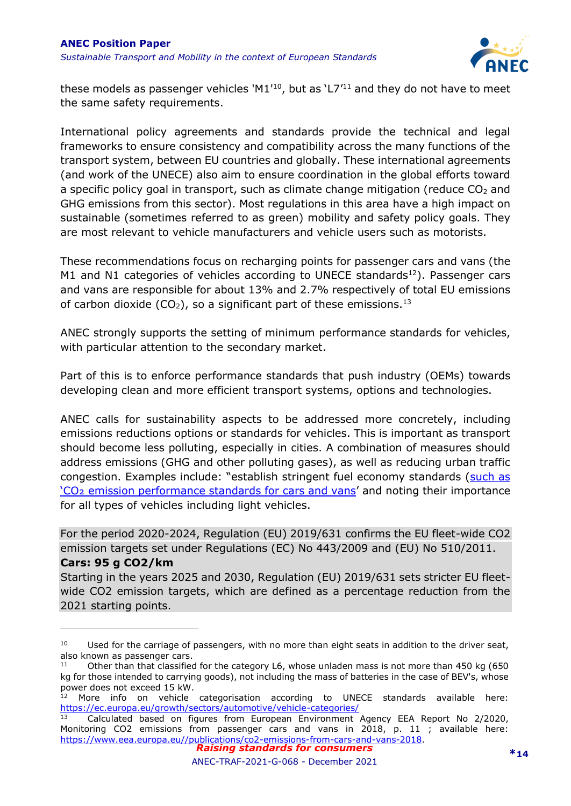

these models as passenger vehicles 'M1'<sup>10</sup>, but as 'L7'<sup>11</sup> and they do not have to meet the same safety requirements.

International policy agreements and standards provide the technical and legal frameworks to ensure consistency and compatibility across the many functions of the transport system, between EU countries and globally. These international agreements (and work of the UNECE) also aim to ensure coordination in the global efforts toward a specific policy goal in transport, such as climate change mitigation (reduce  $CO<sub>2</sub>$  and GHG emissions from this sector). Most regulations in this area have a high impact on sustainable (sometimes referred to as green) mobility and safety policy goals. They are most relevant to vehicle manufacturers and vehicle users such as motorists.

These recommendations focus on recharging points for passenger cars and vans (the M1 and N1 categories of vehicles according to UNECE standards<sup>12</sup>). Passenger cars and vans are responsible for about 13% and 2.7% respectively of total EU emissions of carbon dioxide (CO<sub>2</sub>), so a significant part of these emissions.<sup>13</sup>

ANEC strongly supports the setting of minimum performance standards for vehicles, with particular attention to the secondary market.

Part of this is to enforce performance standards that push industry (OEMs) towards developing clean and more efficient transport systems, options and technologies.

ANEC calls for sustainability aspects to be addressed more concretely, including emissions reductions options or standards for vehicles. This is important as transport should become less polluting, especially in cities. A combination of measures should address emissions (GHG and other polluting gases), as well as reducing urban traffic congestion. Examples include: "establish stringent fuel economy standards ([such as](https://ec.europa.eu/clima/eu-action/transport-emissions/road-transport-reducing-co2-emissions-vehicles/co2-emission-performance-standards-cars-and-vans_en)  'CO₂ [emission performance standards for cars and vans](https://ec.europa.eu/clima/eu-action/transport-emissions/road-transport-reducing-co2-emissions-vehicles/co2-emission-performance-standards-cars-and-vans_en)' and noting their importance for all types of vehicles including light vehicles.

For the period 2020-2024, Regulation (EU) 2019/631 confirms the EU fleet-wide CO2 emission targets set under Regulations (EC) No 443/2009 and (EU) No 510/2011. **Cars: 95 g CO2/km**

Starting in the years 2025 and 2030, Regulation (EU) 2019/631 sets stricter EU fleetwide CO2 emission targets, which are defined as a percentage reduction from the 2021 starting points.

<sup>&</sup>lt;sup>10</sup> Used for the carriage of passengers, with no more than eight seats in addition to the driver seat, also known as passenger cars.

<sup>&</sup>lt;sup>11</sup> Other than that classified for the category L6, whose unladen mass is not more than 450 kg (650 kg for those intended to carrying goods), not including the mass of batteries in the case of BEV's, whose power does not exceed 15 kW.

 $12$  More info on vehicle categorisation according to UNECE standards available here: <https://ec.europa.eu/growth/sectors/automotive/vehicle-categories/>

*Raising standards for consumers* Calculated based on figures from European Environment Agency EEA Report No 2/2020, Monitoring CO2 emissions from passenger cars and vans in 2018, p. 11 ; available here: [https://www.eea.europa.eu//publications/co2-emissions-from-cars-and-vans-2018.](https://www.eea.europa.eu/publications/co2-emissions-from-cars-and-vans-2018)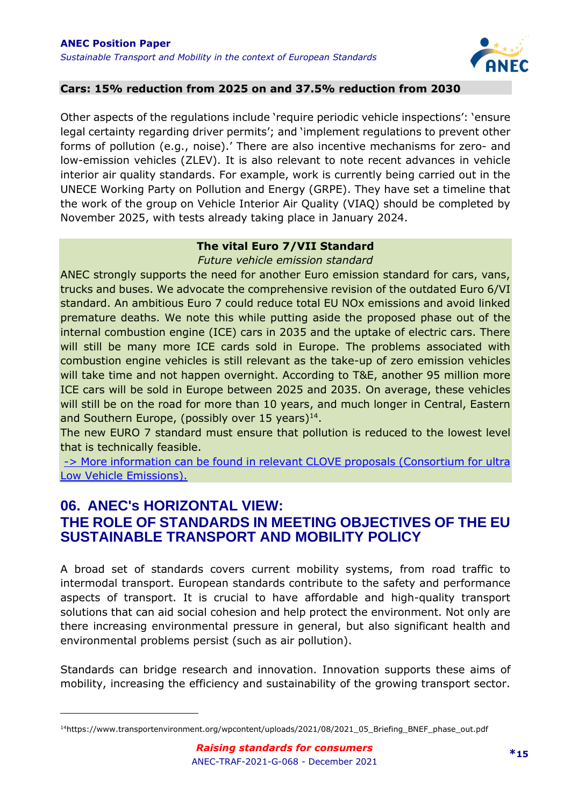

#### **Cars: 15% reduction from 2025 on and 37.5% reduction from 2030**

Other aspects of the regulations include 'require periodic vehicle inspections': 'ensure legal certainty regarding driver permits'; and 'implement regulations to prevent other forms of pollution (e.g., noise).' There are also incentive mechanisms for zero- and low-emission vehicles (ZLEV). It is also relevant to note recent advances in vehicle interior air quality standards. For example, work is currently being carried out in the UNECE Working Party on Pollution and Energy (GRPE). They have set a timeline that the work of the group on Vehicle Interior Air Quality (VIAQ) should be completed by November 2025, with tests already taking place in January 2024.

#### **The vital Euro 7/VII Standard**

*Future vehicle emission standard*

ANEC strongly supports the need for another Euro emission standard for cars, vans, trucks and buses. We advocate the comprehensive revision of the outdated Euro 6/VI standard. An ambitious Euro 7 could reduce total EU NOx emissions and avoid linked premature deaths. We note this while putting aside the proposed phase out of the internal combustion engine (ICE) cars in 2035 and the uptake of electric cars. There will still be many more ICE cards sold in Europe. The problems associated with combustion engine vehicles is still relevant as the take-up of zero emission vehicles will take time and not happen overnight. According to T&E, another 95 million more ICE cars will be sold in Europe between 2025 and 2035. On average, these vehicles will still be on the road for more than 10 years, and much longer in Central, Eastern and Southern Europe, (possibly over 15 years) $14$ .

The new EURO 7 standard must ensure that pollution is reduced to the lowest level that is technically feasible.

-> More information can be found [in relevant CLOVE proposals \(Consortium for ultra](https://retrofit4emissions.eu/)  [Low Vehicle Emissions\).](https://retrofit4emissions.eu/) 

### <span id="page-14-0"></span>**06. ANEC's HORIZONTAL VIEW: THE ROLE OF STANDARDS IN MEETING OBJECTIVES OF THE EU SUSTAINABLE TRANSPORT AND MOBILITY POLICY**

A broad set of standards covers current mobility systems, from road traffic to intermodal transport. European standards contribute to the safety and performance aspects of transport. It is crucial to have affordable and high-quality transport solutions that can aid social cohesion and help protect the environment. Not only are there increasing environmental pressure in general, but also significant health and environmental problems persist (such as air pollution).

Standards can bridge research and innovation. Innovation supports these aims of mobility, increasing the efficiency and sustainability of the growing transport sector.

<sup>&</sup>lt;sup>14</sup>https://www.transportenvironment.org/wpcontent/uploads/2021/08/2021\_05\_Briefing\_BNEF\_phase\_out.pdf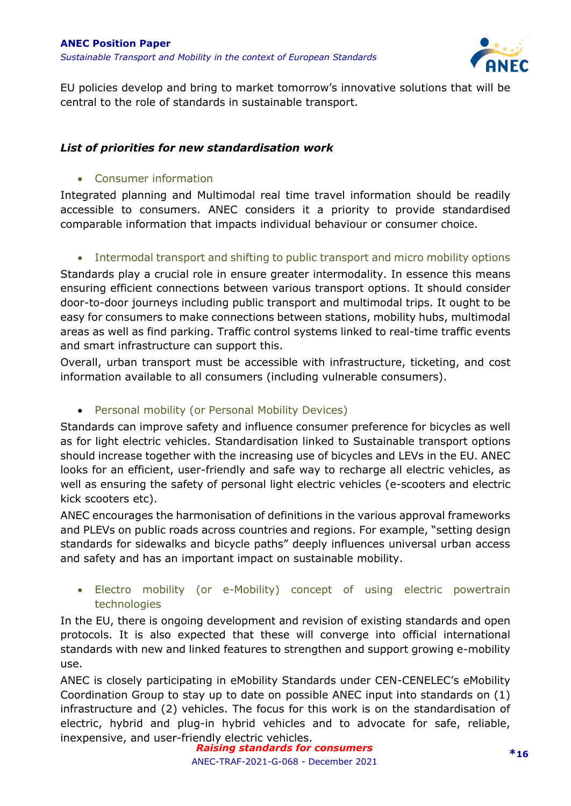

EU policies develop and bring to market tomorrow's innovative solutions that will be central to the role of standards in sustainable transport.

#### *List of priorities for new standardisation work*

#### • Consumer information

Integrated planning and Multimodal real time travel information should be readily accessible to consumers. ANEC considers it a priority to provide standardised comparable information that impacts individual behaviour or consumer choice.

#### • Intermodal transport and shifting to public transport and micro mobility options

Standards play a crucial role in ensure greater intermodality. In essence this means ensuring efficient connections between various transport options. It should consider door-to-door journeys including public transport and multimodal trips. It ought to be easy for consumers to make connections between stations, mobility hubs, multimodal areas as well as find parking. Traffic control systems linked to real-time traffic events and smart infrastructure can support this.

Overall, urban transport must be accessible with infrastructure, ticketing, and cost information available to all consumers (including vulnerable consumers).

#### • Personal mobility (or Personal Mobility Devices)

Standards can improve safety and influence consumer preference for bicycles as well as for light electric vehicles. Standardisation linked to Sustainable transport options should increase together with the increasing use of bicycles and LEVs in the EU. ANEC looks for an efficient, user-friendly and safe way to recharge all electric vehicles, as well as ensuring the safety of personal light electric vehicles (e-scooters and electric kick scooters etc).

ANEC encourages the harmonisation of definitions in the various approval frameworks and PLEVs on public roads across countries and regions. For example, "setting design standards for sidewalks and bicycle paths" deeply influences universal urban access and safety and has an important impact on sustainable mobility.

#### • Electro mobility (or e-Mobility) concept of using electric powertrain technologies

In the EU, there is ongoing development and revision of existing standards and open protocols. It is also expected that these will converge into official international standards with new and linked features to strengthen and support growing e-mobility use.

ANEC is closely participating in eMobility Standards under CEN-CENELEC's eMobility Coordination Group to stay up to date on possible ANEC input into standards on (1) infrastructure and (2) vehicles. The focus for this work is on the standardisation of electric, hybrid and plug-in hybrid vehicles and to advocate for safe, reliable, inexpensive, and user-friendly electric vehicles.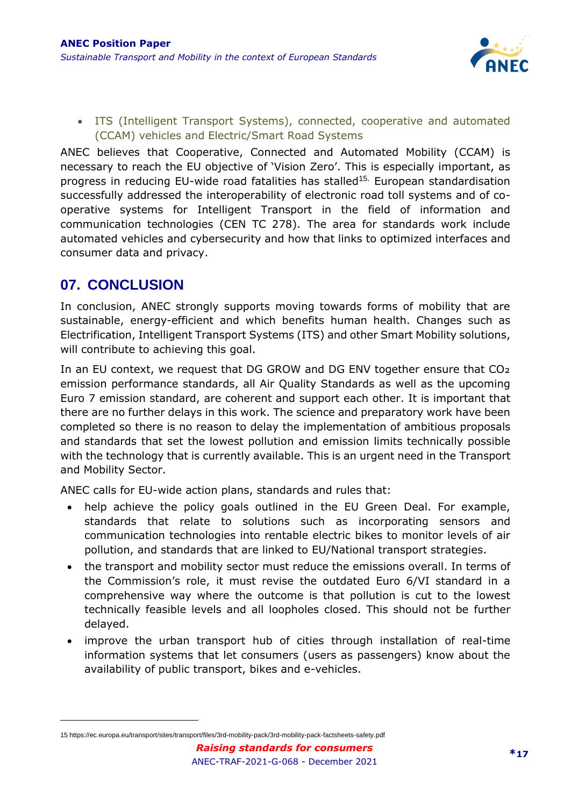

• ITS (Intelligent Transport Systems), connected, cooperative and automated (CCAM) vehicles and Electric/Smart Road Systems

ANEC believes that Cooperative, Connected and Automated Mobility (CCAM) is necessary to reach the EU objective of 'Vision Zero'. This is especially important, as progress in reducing EU-wide road fatalities has stalled<sup>15.</sup> European standardisation successfully addressed the interoperability of electronic road toll systems and of cooperative systems for Intelligent Transport in the field of information and communication technologies (CEN TC 278). The area for standards work include automated vehicles and cybersecurity and how that links to optimized interfaces and consumer data and privacy.

# <span id="page-16-0"></span>**07. CONCLUSION**

In conclusion, ANEC strongly supports moving towards forms of mobility that are sustainable, energy-efficient and which benefits human health. Changes such as Electrification, Intelligent Transport Systems (ITS) and other Smart Mobility solutions, will contribute to achieving this goal.

In an EU context, we request that DG GROW and DG ENV together ensure that CO2 emission performance standards, all Air Quality Standards as well as the upcoming Euro 7 emission standard, are coherent and support each other. It is important that there are no further delays in this work. The science and preparatory work have been completed so there is no reason to delay the implementation of ambitious proposals and standards that set the lowest pollution and emission limits technically possible with the technology that is currently available. This is an urgent need in the Transport and Mobility Sector.

ANEC calls for EU-wide action plans, standards and rules that:

- help achieve the policy goals outlined in the EU Green Deal. For example, standards that relate to solutions such as incorporating sensors and communication technologies into rentable electric bikes to monitor levels of air pollution, and standards that are linked to EU/National transport strategies.
- the transport and mobility sector must reduce the emissions overall. In terms of the Commission's role, it must revise the outdated Euro 6/VI standard in a comprehensive way where the outcome is that pollution is cut to the lowest technically feasible levels and all loopholes closed. This should not be further delayed.
- improve the urban transport hub of cities through installation of real-time information systems that let consumers (users as passengers) know about the availability of public transport, bikes and e-vehicles.

<sup>15</sup> <https://ec.europa.eu/transport/sites/transport/files/3rd-mobility-pack/3rd-mobility-pack-factsheets-safety.pdf>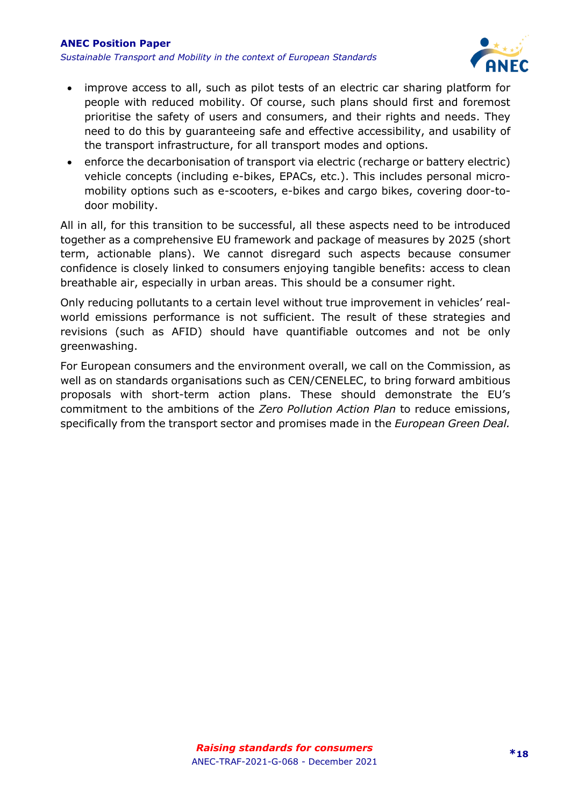

- improve access to all, such as pilot tests of an electric car sharing platform for people with reduced mobility. Of course, such plans should first and foremost prioritise the safety of users and consumers, and their rights and needs. They need to do this by guaranteeing safe and effective accessibility, and usability of the transport infrastructure, for all transport modes and options.
- enforce the decarbonisation of transport via electric (recharge or battery electric) vehicle concepts (including e-bikes, EPACs, etc.). This includes personal micromobility options such as e-scooters, e-bikes and cargo bikes, covering door-todoor mobility.

All in all, for this transition to be successful, all these aspects need to be introduced together as a comprehensive EU framework and package of measures by 2025 (short term, actionable plans). We cannot disregard such aspects because consumer confidence is closely linked to consumers enjoying tangible benefits: access to clean breathable air, especially in urban areas. This should be a consumer right.

Only reducing pollutants to a certain level without true improvement in vehicles' realworld emissions performance is not sufficient. The result of these strategies and revisions (such as AFID) should have quantifiable outcomes and not be only greenwashing.

For European consumers and the environment overall, we call on the Commission, as well as on standards organisations such as CEN/CENELEC, to bring forward ambitious proposals with short-term action plans. These should demonstrate the EU's commitment to the ambitions of the *Zero Pollution Action Plan* to reduce emissions, specifically from the transport sector and promises made in the *European Green Deal.*